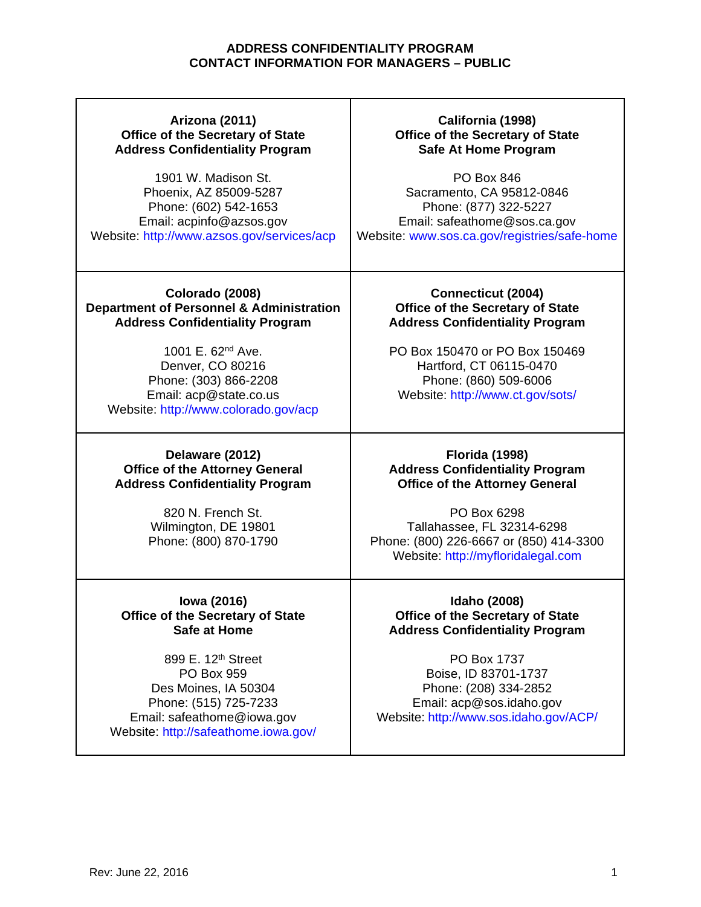## **Arizona (2011) Office of the Secretary of State Address Confidentiality Program**

1901 W. Madison St. Phoenix, AZ 85009-5287 Phone: (602) 542-1653 Email: acpinfo@azsos.gov Website: http://www.azsos.gov/services/acp

# **California (1998) Office of the Secretary of State Safe At Home Program**

PO Box 846 Sacramento, CA 95812-0846 Phone: (877) 322-5227 Email: safeathome@sos.ca.gov Website: www.sos.ca.gov/registries/safe-home

#### **Colorado (2008) Department of Personnel & Administration Address Confidentiality Program**

1001 E. 62nd Ave. Denver, CO 80216 Phone: (303) 866-2208 Email: acp@state.co.us Website: http://www.colorado.gov/acp

### **Delaware (2012) Office of the Attorney General Address Confidentiality Program**

820 N. French St. Wilmington, DE 19801 Phone: (800) 870-1790

## **Iowa (2016) Office of the Secretary of State Safe at Home**

899 E. 12th Street PO Box 959 Des Moines, IA 50304 Phone: (515) 725-7233 Email: safeathome@iowa.gov Website: http://safeathome.iowa.gov/

#### **Connecticut (2004) Office of the Secretary of State Address Confidentiality Program**

PO Box 150470 or PO Box 150469 Hartford, CT 06115-0470 Phone: (860) 509-6006 Website: http://www.ct.gov/sots/

## **Florida (1998) Address Confidentiality Program Office of the Attorney General**

PO Box 6298 Tallahassee, FL 32314-6298 Phone: (800) 226-6667 or (850) 414-3300 Website: http://myfloridalegal.com

**Idaho (2008) Office of the Secretary of State Address Confidentiality Program**

PO Box 1737 Boise, ID 83701-1737 Phone: (208) 334-2852 Email: acp@sos.idaho.gov Website: http://www.sos.idaho.gov/ACP/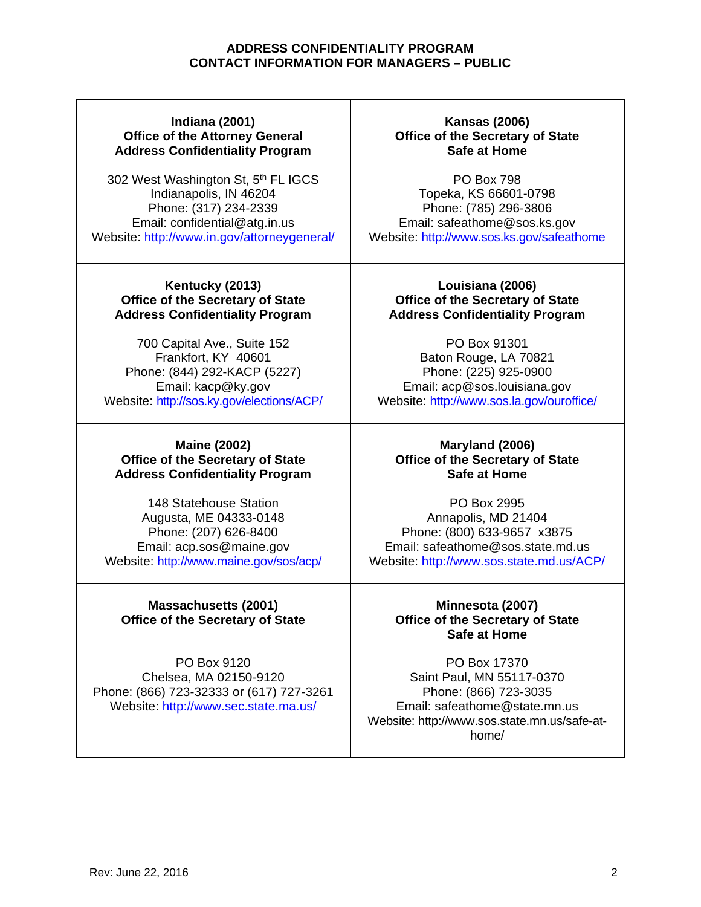## **Indiana (2001) Office of the Attorney General Address Confidentiality Program**

302 West Washington St, 5<sup>th</sup> FL IGCS Indianapolis, IN 46204 Phone: (317) 234-2339 Email: confidential@atg.in.us Website: http://www.in.gov/attorneygeneral/

### **Kentucky (2013) Office of the Secretary of State Address Confidentiality Program**

700 Capital Ave., Suite 152 Frankfort, KY 40601 Phone: (844) 292-KACP (5227) Email: kacp@ky.gov Website: http://sos.ky.gov/elections/ACP/

#### **Maine (2002) Office of the Secretary of State Address Confidentiality Program**

148 Statehouse Station Augusta, ME 04333-0148 Phone: (207) 626-8400 Email: acp.sos@maine.gov Website: http://www.maine.gov/sos/acp/

# **Massachusetts (2001) Office of the Secretary of State**

PO Box 9120 Chelsea, MA 02150-9120 Phone: (866) 723-32333 or (617) 727-3261 Website: http://www.sec.state.ma.us/

## **Kansas (2006) Office of the Secretary of State Safe at Home**

PO Box 798 Topeka, KS 66601-0798 Phone: (785) 296-3806 Email: safeathome@sos.ks.gov Website: http://www.sos.ks.gov/safeathome

## **Louisiana (2006) Office of the Secretary of State Address Confidentiality Program**

PO Box 91301 Baton Rouge, LA 70821 Phone: (225) 925-0900 Email: acp@sos.louisiana.gov Website: http://www.sos.la.gov/ouroffice/

### **Maryland (2006) Office of the Secretary of State Safe at Home**

PO Box 2995 Annapolis, MD 21404 Phone: (800) 633-9657 x3875 Email: safeathome@sos.state.md.us Website: http://www.sos.state.md.us/ACP/

# **Minnesota (2007) Office of the Secretary of State Safe at Home**

PO Box 17370 Saint Paul, MN 55117-0370 Phone: (866) 723-3035 Email: safeathome@state.mn.us Website: http://www.sos.state.mn.us/safe-athome/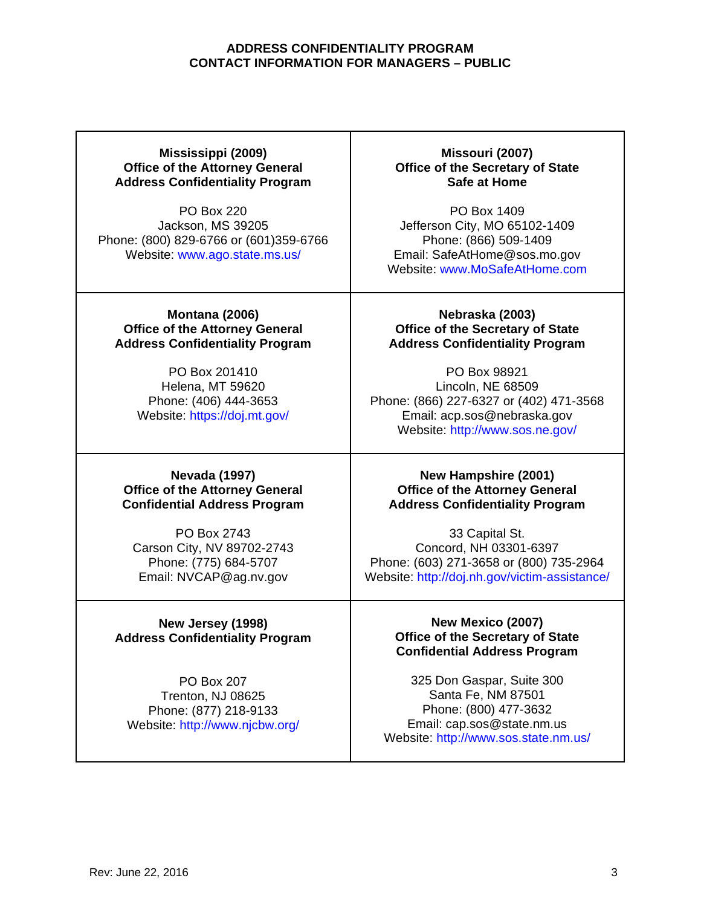#### **Mississippi (2009) Office of the Attorney General Address Confidentiality Program**

PO Box 220 Jackson, MS 39205 Phone: (800) 829-6766 or (601)359-6766 Website: www.ago.state.ms.us/

**Montana (2006) Office of the Attorney General Address Confidentiality Program**

> PO Box 201410 Helena, MT 59620 Phone: (406) 444-3653 Website: https://doj.mt.gov/

#### **Nevada (1997) Office of the Attorney General Confidential Address Program**

PO Box 2743 Carson City, NV 89702-2743 Phone: (775) 684-5707 Email: NVCAP@ag.nv.gov

## **New Jersey (1998) Address Confidentiality Program**

PO Box 207 Trenton, NJ 08625 Phone: (877) 218-9133 Website: http://www.njcbw.org/

**Missouri (2007) Office of the Secretary of State Safe at Home**

PO Box 1409 Jefferson City, MO 65102-1409 Phone: (866) 509-1409 Email: SafeAtHome@sos.mo.gov Website: www.MoSafeAtHome.com

#### **Nebraska (2003) Office of the Secretary of State Address Confidentiality Program**

PO Box 98921 Lincoln, NE 68509 Phone: (866) 227-6327 or (402) 471-3568 Email: acp.sos@nebraska.gov Website: http://www.sos.ne.gov/

#### **New Hampshire (2001) Office of the Attorney General Address Confidentiality Program**

33 Capital St. Concord, NH 03301-6397 Phone: (603) 271-3658 or (800) 735-2964 Website: http://doj.nh.gov/victim-assistance/

### **New Mexico (2007) Office of the Secretary of State Confidential Address Program**

325 Don Gaspar, Suite 300 Santa Fe, NM 87501 Phone: (800) 477-3632 Email: cap.sos@state.nm.us Website: http://www.sos.state.nm.us/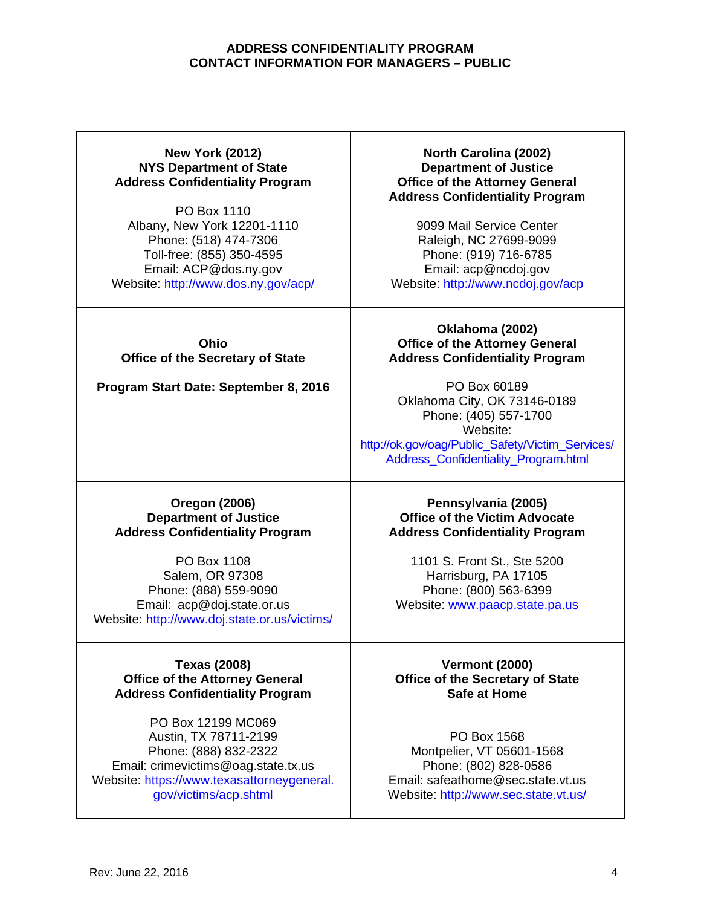## **New York (2012) NYS Department of State Address Confidentiality Program**

PO Box 1110 Albany, New York 12201-1110 Phone: (518) 474-7306 Toll-free: (855) 350-4595 Email: ACP@dos.ny.gov Website: http://www.dos.ny.gov/acp/

**Ohio Office of the Secretary of State**

**Program Start Date: September 8, 2016**

## **North Carolina (2002) Department of Justice Office of the Attorney General Address Confidentiality Program**

9099 Mail Service Center Raleigh, NC 27699-9099 Phone: (919) 716-6785 Email: acp@ncdoj.gov Website: http://www.ncdoj.gov/acp

### **Oklahoma (2002) Office of the Attorney General Address Confidentiality Program**

PO Box 60189 Oklahoma City, OK 73146-0189 Phone: (405) 557-1700 Website: http://ok.gov/oag/Public\_Safety/Victim\_Services/ Address\_Confidentiality\_Program.html

### **Oregon (2006) Department of Justice Address Confidentiality Program**

PO Box 1108 Salem, OR 97308 Phone: (888) 559-9090 Email: acp@doj.state.or.us Website: http://www.doj.state.or.us/victims/

#### **Texas (2008) Office of the Attorney General Address Confidentiality Program**

PO Box 12199 MC069 Austin, TX 78711-2199 Phone: (888) 832-2322 Email: crimevictims@oag.state.tx.us Website: https://www.texasattorneygeneral. gov/victims/acp.shtml

### **Pennsylvania (2005) Office of the Victim Advocate Address Confidentiality Program**

1101 S. Front St., Ste 5200 Harrisburg, PA 17105 Phone: (800) 563-6399 Website: www.paacp.state.pa.us

**Vermont (2000) Office of the Secretary of State Safe at Home**

PO Box 1568 Montpelier, VT 05601-1568 Phone: (802) 828-0586 Email: safeathome@sec.state.vt.us Website: http://www.sec.state.vt.us/